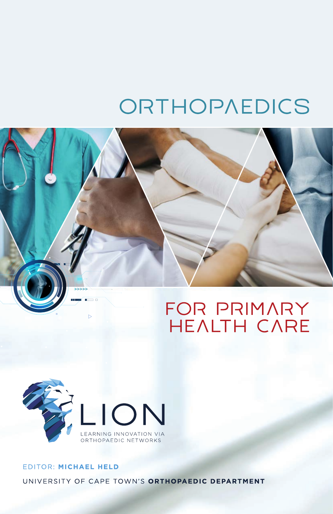# ORTHOPAEDICS





## EDITOR: MICHAEL HELD UNIVERSITY OF CAPE TOWN'S ORTHOPAEDIC DEPARTMENT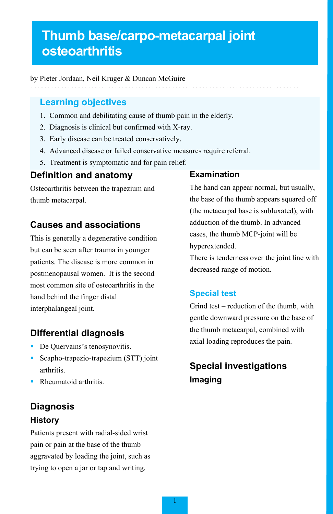# **Thumb base/carpo-metacarpal joint osteoarthritis**

by Pieter Jordaan, Neil Kruger & Duncan McGuire

## **Learning objectives**

- 1. Common and debilitating cause of thumb pain in the elderly.
- 2. Diagnosis is clinical but confirmed with X-ray.
- 3. Early disease can be treated conservatively.
- 4. Advanced disease or failed conservative measures require referral.
- 5. Treatment is symptomatic and for pain relief.

## **Definition and anatomy**

Osteoarthritis between the trapezium and thumb metacarpal.

## **Causes and associations**

This is generally a degenerative condition but can be seen after trauma in younger patients. The disease is more common in postmenopausal women. It is the second most common site of osteoarthritis in the hand behind the finger distal interphalangeal joint.

## **Differential diagnosis**

- De Quervains's tenosynovitis.
- Scapho-trapezio-trapezium (STT) joint arthritis.
- Rheumatoid arthritis.

## **Diagnosis History**

Patients present with radial-sided wrist pain or pain at the base of the thumb aggravated by loading the joint, such as trying to open a jar or tap and writing.

### **Examination**

The hand can appear normal, but usually, the base of the thumb appears squared off (the metacarpal base is subluxated), with adduction of the thumb. In advanced cases, the thumb MCP-joint will be hyperextended.

There is tenderness over the joint line with decreased range of motion.

## **Special test**

Grind test – reduction of the thumb, with gentle downward pressure on the base of the thumb metacarpal, combined with axial loading reproduces the pain.

## **Special investigations Imaging**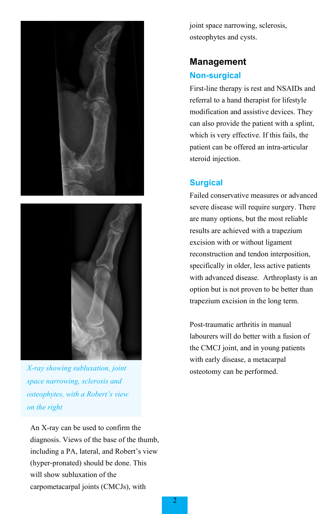



osteotomy can be performed. *X-ray showing subluxation, joint space narrowing, sclerosis and osteophytes, with a Robert's view on the right*

An X-ray can be used to confirm the diagnosis. Views of the base of the thumb, including a PA, lateral, and Robert's view (hyper-pronated) should be done. This will show subluxation of the carpometacarpal joints (CMCJs), with

joint space narrowing, sclerosis, osteophytes and cysts.

## **Management Non-surgical**

First-line therapy is rest and NSAIDs and referral to a hand therapist for lifestyle modification and assistive devices. They can also provide the patient with a splint, which is very effective. If this fails, the patient can be offered an intra-articular steroid injection.

## **Surgical**

Failed conservative measures or advanced severe disease will require surgery. There are many options, but the most reliable results are achieved with a trapezium excision with or without ligament reconstruction and tendon interposition, specifically in older, less active patients with advanced disease. Arthroplasty is an option but is not proven to be better than trapezium excision in the long term.

Post-traumatic arthritis in manual labourers will do better with a fusion of the CMCJ joint, and in young patients with early disease, a metacarpal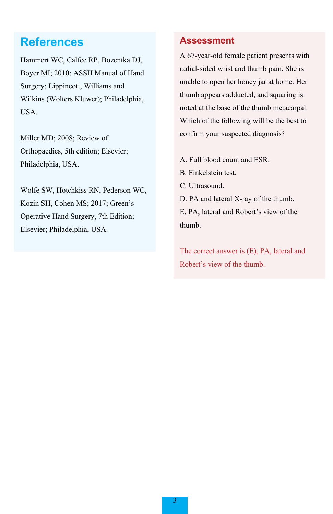## **References**

Hammert WC, Calfee RP, Bozentka DJ, Boyer MI; 2010; ASSH Manual of Hand Surgery; Lippincott, Williams and Wilkins (Wolters Kluwer); Philadelphia, USA.

Miller MD; 2008; Review of Orthopaedics, 5th edition; Elsevier; Philadelphia, USA.

Wolfe SW, Hotchkiss RN, Pederson WC, Kozin SH, Cohen MS; 2017; Green's Operative Hand Surgery, 7th Edition; Elsevier; Philadelphia, USA.

## **Assessment**

A 67-year-old female patient presents with radial-sided wrist and thumb pain. She is unable to open her honey jar at home. Her thumb appears adducted, and squaring is noted at the base of the thumb metacarpal. Which of the following will be the best to confirm your suspected diagnosis?

- A. Full blood count and ESR.
- B. Finkelstein test.
- C. Ultrasound.
- D. PA and lateral X-ray of the thumb. E. PA, lateral and Robert's view of the thumb.

The correct answer is (E), PA, lateral and Robert's view of the thumb.